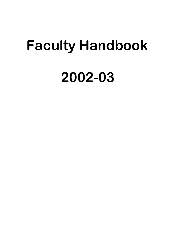# **Faculty Handbook 2002-03**

 $-1-$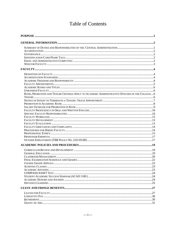# **Table of Contents**

| RANK, PROMOTION AND TENURE CRITERIA APPLY TO ACADEMIC ADMINISTRATIVE OFFICERS OF THE COLLEGE  6 |  |
|-------------------------------------------------------------------------------------------------|--|
|                                                                                                 |  |
|                                                                                                 |  |
|                                                                                                 |  |
|                                                                                                 |  |
|                                                                                                 |  |
|                                                                                                 |  |
|                                                                                                 |  |
|                                                                                                 |  |
|                                                                                                 |  |
|                                                                                                 |  |
|                                                                                                 |  |
|                                                                                                 |  |
|                                                                                                 |  |
|                                                                                                 |  |
|                                                                                                 |  |
|                                                                                                 |  |
|                                                                                                 |  |
|                                                                                                 |  |
|                                                                                                 |  |
|                                                                                                 |  |
|                                                                                                 |  |
|                                                                                                 |  |
|                                                                                                 |  |
|                                                                                                 |  |
|                                                                                                 |  |
|                                                                                                 |  |
|                                                                                                 |  |
|                                                                                                 |  |
|                                                                                                 |  |
|                                                                                                 |  |
|                                                                                                 |  |
|                                                                                                 |  |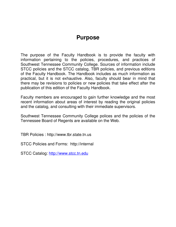# **Purpose**

<span id="page-4-0"></span>The purpose of the Faculty Handbook is to provide the faculty with information pertaining to the policies, procedures, and practices of Southwest Tennessee Community College. Sources of information include STCC policies and the STCC catalog, TBR policies, and previous editions of the Faculty Handbook. The Handbook includes as much information as practical, but it is not exhaustive. Also, faculty should bear in mind that there may be revisions to policies or new policies that take effect after the publication of this edition of the Faculty Handbook.

Faculty members are encouraged to gain further knowledge and the most recent information about areas of interest by reading the original policies and the catalog, and consulting with their immediate supervisors.

Southwest Tennessee Community College polices and the policies of the Tennessee Board of Regents are available on the Web.

TBR Policies : http://www.tbr.state.tn.us

STCC Policies and Forms: http://internal

STCC Catalog: [http://www.stcc.tn.edu](http://www.stcc.tn.edu/)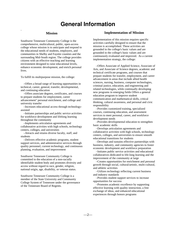# **General Information**

#### **Mission**

<span id="page-5-0"></span>.

Southwest Tennessee Community College is the comprehensive, multicultural, public, open-access college whose mission is to anticipate and respond to the educational needs of students, employers, and communities in Shelby and Fayette counties and the surrounding Mid-South region. The college provides citizens with an effective teaching and learning environment designed to raise educational levels, enhance economic development, and enrich personal lives.

To fulfill its multipurpose mission, the college:

 –Offers a broad range of learning opportunities in technical, career, general, transfer, developmental, and continuing education

 –Offers associate degrees, certificates, and courses to prepare students for employment, career advancement" personal enrichment, and college and university transfer

 –Increases educational access through technologyassisted

 –Initiates partnerships and public service activities for workforce development and lifelong learning throughout the community

 –Implements articulation agreements and collaborative activities with high schools, technology centers, colleges, and universities

 –Attracts and retains diverse faculty, staff, and students

 –Delivers effective academic programs, student support services, and administrative services through quality personnel, current technology, and continuous planning, evaluation, and improvement

Southwest Tennessee Community College is committed to the education of a non-racially identifiable student body and promotes diversity and access without regard to race, gender, religion, national origin, age, disability, or veteran status.

Southwest Tennessee Community College is a member of the State University and Community College System of Tennessee under the governance of the Tennessee Board of Regents.

#### **Implementation of Mission**

Implementation of this mission requires specific activities carefully designed to ensure that the mission is accomplished. These activities are grounded in the college's basic values and are grounded in the college's basic values and are continuously evaluated and improved. As a current implementation strategy, the college:

 –Offers Associate of Applied Science, Associate of Arts, and Associate of Science degrees, academic and technical certificate programs, and courses that prepare students for transfer, employment, and career advancement in areas that include allied health sciences, nursing, business, computer technologies, criminal justice, education, and engineering and related technologies, while continually developing new programs in emerging fields Offers a general education program to improve student communication and mathematical skills, critical thinking, cultural awareness, and personal and civic responsibility

 –Provides customized training, specialized courses, continuing education, and assessment services to meet personal, career, and workforce development needs

 –Provides developmental education to strengthen basic academic skills

 –Develops articulation agreements and collaborative activities with high schools, technology centers, colleges, and universities to ensure smooth educational transitions for students

 –Develops and sustains effective partnerships with business, industry, and community agencies to foster economic development and workforce preparation

 –Initiates public service activities and educational collaboratives dedicated to life-long learning and the improvement of the community at large

 –Creates opportunities for enrichment and personal growth through social, cultural/artistic, multi-cultural, and athletic activities

 –Utilizes technology reflecting current business and industry standards

 –Provides student support services to increase opportunities for success

 –Promotes academic excellence by supporting effective learning with quality instruction, a free exchange of ideas, and enhanced educational experiences through honors programs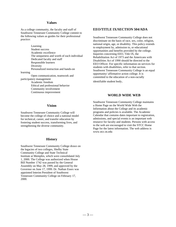#### **Values**

As a college community, the faculty and staff of Southwest Tennessee Community College commit to the following values as guides for their professional practice:

Learning Student success Academic excellence The uniqueness and worth of each individual Dedicated faculty and staff Responsible learners **Diversity** Personalized instruction and hands-on learning Open communication, teamwork and participatory management Academic freedom Ethical and professional behavior Community involvement Continuous improvement

#### **Vision**

Southwest Tennessee Community College will become the college of choice and a national model for technical, career, and transfer education by fostering student success, transforming lives, and strengthening the diverse community.

#### **History**

Southwest Tennessee Community College draws on the legacies of two colleges, Shelby State Community College and State Technical Institute at Memphis, which were consolidated July 1, 2000. The College was authorized when House Bill Number 1742 was passed by the General Assembly on May 28, 1999, and approved by the Governor on June 17, 1999. Dr. Nathan Essex was appointed Interim President of Southwest Tennessee Community College on February 17, 2000.

#### **EEO/TITLE IX/SECTION 504/ADA**

Southwest Tennessee Community College does not discriminate on the basis of race, sex, color, religion, national origin, age, or disability. This policy extends to employment by, admission to, or educational opportunities and benefits provided by the college. Inquiries concerning EEO, Title IX, the Rehabilitation Act of 1973 and the Americans with Disabilities Act of 1990 should be directed to the EEO Officer. For specific information on services for students with disabilities, refer to that section. Southwest Tennessee Community College is an equal opportunity/ affirmative action college. It is committed to the education of a non-racially

identifiable student body.

#### **WORLD WIDE WEB**

Southwest Tennessee Community College maintains a Home Page on the World Wide Web the Information about the College and its academic programs and policies is available. The Academic Calendar that contains dates important to registration, admissions, and special events is an important web resource for faculty and students. Persons with access to the web are encouraged to visit the STCC Home Page for the latest information. The web address is www.stcc.tn.edu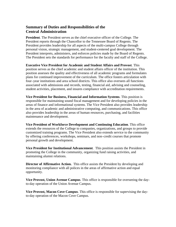#### <span id="page-8-0"></span>**Summary of Duties and Responsibilities of the Central Administration**

**President**. The President serves as the chief executive officer of the College. The President reports through the Chancellor to the Tennessee Board of Regents. The President provides leadership for all aspects of the multi-campus College through personal vision, strategic management, and student-centered goal development. The President interprets, administers, and enforces policies made by the Board of Regents. The President sets the standards for performance for the faculty and staff of the College.

**Executive Vice President for Academic and Student Affairs and Provost**. This position serves as the chief academic and student affairs officer of the institution. This position assesses the quality and effectiveness of all academic programs and formulates plans for continued improvement of the curriculum. The office fosters articulation with four–year institutions and area school districts. This office also oversees all functions associated with admissions and records, testing, financial aid, advising and counseling, student activities, placement, and insures compliance with accreditation requirements.

**Vice President for Business, Financial and Information Systems**. This position is responsible for maintaining sound fiscal management and for developing policies in the areas of finance and informational systems. The Vice President also provides leadership in the area of academic and administrative computing, and communications. This office also provides leadership in the areas of human resources, purchasing, and facilities maintenance and development.

**Vice President of Workforce Development and Continuing Education**. This office extends the resources of the College to companies, organizations, and groups to provide customized training programs. The Vice President also extends service to the community by offering conferences, workshops, seminars, and non–credit courses that promote personal growth and development.

**Vice President for Institutional Advancement**. This position assists the President in promoting the College in the community, organizing fund raising activities, and maintaining alumni relations.

**Director of Affirmative Action.** This office assists the President by developing and monitoring compliance with all polices in the areas of affirmative action and equal opportunity.

**Vice Provost, Union Avenue Campus**. This office is responsible for overseeing the dayto-day operation of the Union Avenue Campus.

**Vice Provost, Macon Cove Campus**. This office is responsible for supervising the dayto-day operation of the Macon Cove Campus.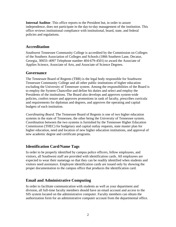<span id="page-9-0"></span>**Internal Auditor**. This office reports to the President but, in order to assure independence, does not participate in the day-to-day management of the institution. This office reviews institutional compliance with institutional, board, state, and federal policies and regulations.

#### **Accreditation**

Southwest Tennessee Community College is accredited by the Commission on Colleges of the Southern Association of Colleges and Schools (1866 Southern Lane, Decatur, Georgia, 30033–4097 Telephone number 404-679-4501) to award the Associate of Applies Science, Associate of Arts, and Associate of Science Degrees.

#### **Governance**

The Tennessee Board of Regents (TBR) is the legal body responsible for Southwest Tennessee Community College and all other public institutions of higher education excluding the University of Tennessee system. Among the responsibilities of the Board is to employ the System Chancellor and define his duties and select and employ the Presidents of the institutions. The Board also develops and approves system-wide policies, confers tenure and approves promotions in rank of faculty, prescribes curricula and requirements for diplomas and degrees, and approves the operating and capital budgets of each institution.

*Coordinating Board.* The Tennessee Board of Regents is one of two higher education systems in the state of Tennessee, the other being the University of Tennessee system. Coordination between the two systems is furnished by the Tennessee Higher Education Commission (THEC) for budgetary and capital outlay requests, state master plan for higher education, need and location of new higher education institutions, and approval of new academic degree and certificate programs.

# **Identification Card/Name Tags**

In order to be properly identified by campus police officers, fellow employees, and visitors, all Southwest staff are provided with identification cards. All employees are expected to wear their nametags so that they can be readily identified when students and visitors need assistance. Employee identification cards are issued only by showing the proper documentation to the campus office that produces the identification card.

## **Email and Administrative Computing**

In order to facilitate communication with students as well as your department and division, all full-time faculty members should have an email account and access to the SIS system located on the administrative computer. Faculty members can obtain the authorization form for an administrative computer account from the departmental office.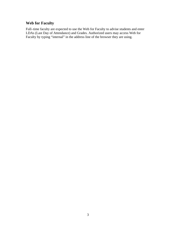# <span id="page-10-0"></span>**Web for Faculty**

Full–time faculty are expected to use the Web for Faculty to advise students and enter LDAs (Last Day of Attendance) and Grades. Authorized users may access Web for Faculty by typing "internal" in the address line of the browser they are using.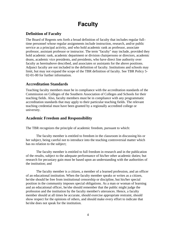# **Faculty**

# <span id="page-11-0"></span>**Definition of Faculty**

The Board of Regents sets forth a broad definition of faculty that includes regular full– time personnel whose regular assignments include instruction, research, and/or public service as a principal activity, and who hold academic rank as professor, associate professor, assistant professor or instructor. The term "faculty" may include, provided they hold academic rank, academic department or division chairpersons or directors, academic deans, academic vice presidents, and presidents, who have direct line authority over faculty as hereinabove described, and associates or assistants for the above positions. Adjunct faculty are not included in the definition of faculty. Institutions and schools may limit, but may not expand the scope of the TBR definition of faculty. See TBR Policy 5- 02-01-00 for further information.

#### **Accreditation Standards**

Teaching faculty members must be in compliance with the accreditation standards of the Commission on Colleges of the Southern Association of Colleges and Schools for their teaching fields. Also, faculty members must be in compliance with any programmatic accreditation standards that may apply to their particular teaching fields. The relevant teaching credential must have been granted by a regionally accredited college or university.

## **Academic Freedom and Responsibility**

The TBR recognizes the principle of academic freedom, pursuant to which:

The faculty member is entitled to freedom in the classroom in discussing his or her subject, being careful not to introduce into the teaching controversial matter which has no relation to the subject;

The faculty member is entitled to full freedom in research and in the publication of the results, subject to the adequate performance of his/her other academic duties; but research for pecuniary gain must be based upon an understanding with the authorities of the institution; and

The faculty member is a citizen, a member of a learned profession, and an officer of an educational institution. When the faculty member speaks or writes as a citizen, he/she should be free from institutional censorship or discipline, but his/her special position in the community imposes special obligations. As a man or woman of learning and an educational officer, he/she should remember that the public might judge the profession and the institution by the faculty member's utterances. Hence, a faculty member should at all times be accurate, should exercise appropriate restraint, should show respect for the opinions of others, and should make every effort to indicate that he/she does not speak for the institution.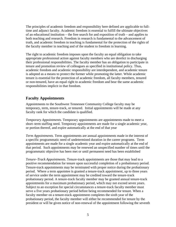<span id="page-12-0"></span>The principles of academic freedom and responsibility here defined are applicable to fulltime and adjunct faculty. Academic freedom is essential to fulfill the ultimate objectives of an educational institution – the free search for and exposition of truth – and applies to both teaching and research. Freedom in research is fundamental to the advancement of truth, and academic freedom in teaching is fundamental for the protection of the rights of the faculty member in teaching and of the student to freedom in learning.

The right to academic freedom imposes upon the faculty an equal obligation to take appropriate professional action against faculty members who are derelict in discharging their professional responsibilities. The faculty member has an obligation to participate in tenure and promotion review of colleagues as specified in institutional policy. Thus, academic freedom and academic responsibility are interdependent, and academic tenure is adopted as a means to protect the former while promoting the latter. While academic tenure is essential for the protection of academic freedom, all faculty members, tenured or non-tenured, have an equal right to academic freedom and bear the same academic responsibilities implicit in that freedom.

#### **Faculty Appointments**

Appointments to the Southwest Tennessee Community College faculty may be temporary, term, tenure-track, or tenured. Initial appointments will be made at any faculty rank for which the candidate is qualified.

*Temporary Appointments.* Temporary appointments are appointments made to meet a short–term staffing need. Temporary appointments are made for a single academic year, or portion thereof, and expire automatically at the end of that year

*Term Appointments.* Term appointments are annual appointments made in the interest of a specific programmatic need of undetermined duration in the career programs. Term appointments are made for a single academic year and expire automatically at the end of that period. Such appointments may be renewed an unspecified number of times until the programmatic objective has been met or until permanent need has been established

*Tenure–Track Appointments*. Tenure-track appointments are those that may lead to a positive recommendation for tenure upon successful completion of a probationary period. Tenure-track appointments may be terminated with proper notice during the probationary period. Where a term appointee is granted a tenure-track appointment, up to three years of service under the term appointment may be credited toward the tenure-track probationary period. A tenure-track faculty member may be granted annual tenure-track appointments for a maximum probationary period, which may not exceed seven years. Subject to an exception for special circumstances a tenure-track faculty member must serve a five years probationary period before being recommended for tenure. When a faculty member on a tenure-track appointment completes the sixth year of the probationary period, the faculty member will either be recommended for tenure by the president or will be given notice of non-renewal of the appointment following the seventh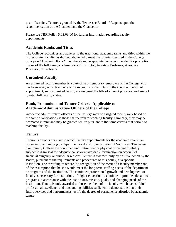<span id="page-13-0"></span>year of service. Tenure is granted by the Tennessee Board of Regents upon the recommendation of the President and the Chancellor.

Please see TBR Policy 5:02:03:00 for further information regarding faculty appointments.

#### **Academic Ranks and Titles**

The College recognizes and adheres to the traditional academic ranks and titles within the professorate. Faculty, as defined above, who meet the criteria specified in the College policy on "Academic Rank" may, therefore, be appointed or recommended for promotion to one of the following academic ranks: Instructor, Assistant Professor, Associate Professor, or Professor.

# **Unranked Faculty**

An unranked faculty member is a part–time or temporary employee of the College who has been assigned to teach one or more credit courses. During the specified period of appointment, such unranked faculty are assigned the title of adjunct professor and are not granted full faculty status.

#### **Rank, Promotion and Tenure Criteria Applicable to Academic Administrative Officers of the College**

Academic administrative officers of the College may be assigned faculty rank based on the same qualifications as those that pertain to teaching faculty. Similarly, they may be promoted in rank and may be granted tenure pursuant to the same criteria that pertain to teaching faculty.

#### **Tenure**

Tenure is a status pursuant to which faculty appointments for the academic year in an organizational unit (e.g., a department or division) or program of Southwest Tennessee Community College are continued until retirement or physical or mental disability, subject to dismissal for adequate cause or unavoidable termination on account of financial exigency or curricular reasons. Tenure is awarded only by positive action by the Board, pursuant to the requirements and procedures of this policy, at a specific institution. The awarding of tenure is a recognition of the merit of a faculty member and of the assumption that he/she would meet the long-term staffing needs of the department or program and the institution. The continued professional growth and development of faculty is necessary for institutions of higher education to continue to provide educational programs in accordance with the institution's mission, goals, and changing needs of the institution. Tenure is only awarded to those members of the faculty who have exhibited professional excellence and outstanding abilities sufficient to demonstrate that their future services and performances justify the degree of permanence afforded by academic tenure.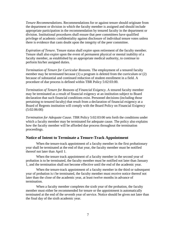<span id="page-14-0"></span>*Tenure Recommendations*. Recommendations for or against tenure should originate from the department or division in which the faculty member is assigned and should include appropriate participation in the recommendation by tenured faculty in the department or division. Institutional procedures shall ensure that peer committees have qualified privilege of academic confidentiality against disclosure of individual tenure votes unless there is evidence that casts doubt upon the integrity of the peer committee.

*Expiration of Tenure*. Tenure status shall expire upon retirement of the faculty member. Tenure shall also expire upon the event of permanent physical or mental inability of a faculty member, as established by an appropriate medical authority, to continue to perform his/her assigned duties.

*Termination of Tenure for Curricular Reasons*. The employment of a tenured faculty member may be terminated because (1) a program is deleted from the curriculum or (2) because of substantial and continued reduction of student enrollment in a field. A procedure of due process is defined within TBR Policy 5:02:03:00.

*Termination of Tenure for Reasons of Financial Exigency*. A tenured faculty member may be terminated as a result of financial exigency at an institution subject to Board declaration that such financial conditions exist. Personnel decisions (including those pertaining to tenured faculty) that result from a declaration of financial exigency at a Board of Regents institution will comply with the Board Policy on Financial Exigency (5:02:06:00)

*Termination for Adequate Cause*. TBR Policy 5:02:03:00 sets forth the conditions under which a faculty member may be terminated for adequate cause. The policy also explains how the faculty member will be afforded due process throughout the termination proceedings.

#### **Notice of Intent to Terminate a Tenure-Track Appointment**

When the tenure-track appointment of a faculty member in the first probationary year shall be terminated at the end of that year, the faculty member must be notified thereof not later than April 1.

When the tenure track appointment of a faculty member in the second year of probation is to be terminated, the faculty member must be notified not later than January 1, and the termination shall not become effective until the end of the academic year.

When the tenure-track appointment of a faculty member in the third or subsequent year of probation is t be terminated, the faculty member must receive notice thereof not later than the close of the academic year, at least twelve months in advance of termination.

When a faculty member completes the sixth year of the probation, the faculty member must either be recommended for tenure or the appointment is automatically terminated at the end of the seventh year of service. Notice should be given not later than the final day of the sixth academic year.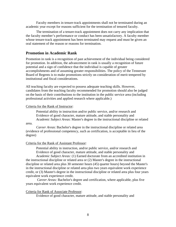<span id="page-15-0"></span>Faculty members in tenure-track appointments shall not be terminated during an academic year except for reasons sufficient for the termination of tenured faculty.

The termination of a tenure-track appointment does not carry any implication that the faculty member's performance or conduct has been unsatisfactory. A faculty member whose tenure-track appointment has been terminated may request and must be given an oral statement of the reason or reasons for termination.

#### **Promotion in Academic Rank**

Promotion in rank is a recognition of past achievement of the individual being considered for promotion. In addition, the advancement in rank is usually a recognition of future potential and a sign of confidence that the individual is capable of greater accomplishments and of assuming greater responsibilities. The policy of the Tennessee Board of Regents is to make promotions strictly on consideration of merit tempered by institutional and fiscal considerations.

All teaching faculty are expected to possess adequate teaching skills. However, candidates from the teaching faculty recommended for promotion should also be judged on the basis of their contributions to the institution in the public service area (including professional activities and applied research where applicable.)

#### Criteria for the Rank of Instructor:

Potential ability in instruction and/or public service, and/or research and Evidence of good character, mature attitude, and stable personality and *Academic Subject Areas*: Master's degree in the instructional discipline or related

#### area.

*Career Areas*: Bachelor's degree in the instructional discipline or related area (evidence of professional competency, such as certification, is acceptable in lieu of the degree)

#### Criteria for the Rank of Assistant Professor:

Potential ability in instruction, and/or public service, and/or research and Evidence of good character, mature attitude, and stable personality and

*Academic Subject Areas:* (1) Earned doctorate from an accredited institution in the instructional discipline or related area or (2) Master's degree in the instructional discipline or related area plus 30 semester hours (45) quarter hours) beyond the Master's in the instructional discipline or related area plus two years equivalent work experience credit, or (3) Master's degree in the instructional discipline or related area plus four years equivalent work experience credit.

*Career Areas:* Bachelor's degree and certification, where applicable, plus five years equivalent work experience credit.

#### Criteria for Rank of Associate Professor:

Evidence of good character, mature attitude, and stable personality and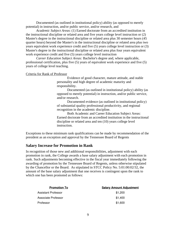<span id="page-16-0"></span>Documented (as outlined in institutional policy) ability (as opposed to merely potential) in instruction, and/or public service, and/or research, and

*Academic Subject Areas*: (1) Earned doctorate from an accredited institution in the instructional discipline or related area and five years college level instruction or (2) Master's degree in the instructional discipline or related area plus 30 semester hours (45 quarter hours) beyond the Master's in the instructional discipline or related area plus two years equivalent work experience credit and five (5) years college level instruction or (3) Master's degree in the instructional discipline or related area plus four years equivalent work experience credit and five (5) years college level instruction

*Career Education Subject Areas:* Bachelor's degree and, where applicable, professional certification, plus five (5) years of equivalent work experience and five (5) years of college level teaching.

#### Criteria for Rank of Professor

Evidence of good character, mature attitude, and stable personality and high degree of academic maturity and responsibility.

Documented (as outlined in institutional policy) ability (as opposed to merely potential) in instruction, and/or public service, and/or research.

Documented evidence (as outlined in institutional policy) of substantial quality professional productivity, and regional recognition in the academic discipline.

Both Academic and Career Education Subject Areas: Earned doctorate from an accredited institution in the instructional discipline or related area and ten (10) years college level instruction.

Exceptions to these minimum rank qualifications can be made by recommendation of the president as an exception and approval by the Tennessee Board of Regents

#### **Salary Increase for Promotion in Rank**

In recognition of those new and additional responsibilities, adjustment with each promotion in rank, the College awards a base salary adjustment with each promotion in rank. Such adjustments becoming effective in the fiscal year immediately following the awarding of promotion by the Tennessee Board of Regents, unless otherwise stipulated by the Chancellor or the Board. As stipulated in STCC Policy No. 5:01:00:02/32, the amount of the base salary adjustment that one receives is contingent upon the rank to which one has been promoted as follows:

| <b>Promotion To</b> | <b>Salary Amount Adjustment</b> |
|---------------------|---------------------------------|
| Assistant Professor | \$1,200                         |
| Associate Professor | \$1,400                         |
| Professor           | \$1,600                         |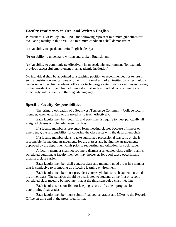#### <span id="page-17-0"></span>**Faculty Proficiency in Oral and Written English**

Pursuant to TBR Policy 5:02:01:03, the following represent minimum guidelines for evaluating faculty in this area. At a minimum candidates shall demonstrate:

(a) An ability to speak and write English clearly;

(b) An ability to understand written and spoken English; and

(c) An ability to communicate effectively in an academic environment (for example, previous successful employment in an academic institution).

No individual shall be appointed to a teaching position or recommended for tenure in such a position on any campus or other institutional unit of an institution or technology center unless the chief academic officer or technology center director certifies in writing to the president or other chief administrator that such individual can communicate effectively with students in the English language

#### **Specific Faculty Responsibilities**

The primary obligation of a Southwest Tennessee Community College faculty member, whether ranked or unranked, is to teach effectively.

Each faculty member, both full and part-time, is require to meet punctually all assigned classes on scheduled meeting days

If a faculty member is prevented form meeting classes because of illness or emergency, the responsibility for covering the class rests with the department chair.

If a faculty member plans to take authorized professional leave, he or she is responsible for making arrangements for the classes and having the arrangements approved by the department chair prior to requesting authorization for such leave.

A faculty member shall not routinely dismiss a scheduled class earlier than its scheduled duration. A faculty member may, however, for good cause occasionally dismiss a class earlier.

Each faculty member shall conduct class and maintain good order in a manner that is conducive to promoting an effective learning environment.

Each faculty member must provide a course syllabus to each student enrolled in his or her class. The syllabus should be distributed to students at the first or second scheduled class meeting but not later that at the third scheduled class meeting.

Each faculty is responsible for keeping records of student progress for determining final grades.

Each faculty member must submit final course grades and LDAs to the Records Office on time and in the prescribed format.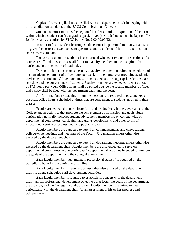Copies of current syllabi must be filed with the department chair in keeping with the accreditation standards of the SACS Commission on Colleges.

Student examinations must be kept on file at least until the expiration of the term within which a student can file a grade appeal. (1 year). Grade books must be kept on file for five years as required by STCC Policy No. 2:00:00:00/22.

In order to foster student learning, students must be permitted to review exams, to be given the correct answers to exam questions, and to understand how the examination scores were computed.

The use of a common textbook is encouraged whenever two or more sections of a course are offered. In such cases, all full–time faculty members in the discipline shall participate in the selection of textbooks.

During the fall and spring semesters, a faculty member is required to schedule and post an adequate number of office hours per week for the purpose of providing academic advisement to students. Office hours must be scheduled at times appropriate for the class schedule and the convenience of students. Faculty members are expected to work a total of 37.5 hours per week. Office hours shall be posted outside the faculty member's office, and a copy shall be filed with the department chair and the dean.

All full-time faculty teaching in summer sessions are required to post and keep adequate office hours, scheduled at times that are convenient to students enrolled in their classes.

Faculty are expected to participate fully and productively in the governance of the College and in activities that promote the achievement of its mission and goals. Such participation normally includes student advisement, membership on college-wide or departmental committees, curriculum and grants development, and other forms of institutional service or professional and public service.

Faculty members are expected to attend all commencements and convocations, college-wide meetings and meetings of the Faculty Organization unless otherwise excused by the department chair.

Faculty members are expected to attend all department meetings unless otherwise excused by the department chair. Faculty members are also expected to serve on departmental committees and to participate in departmental activities intended to promote the goals of the department and the collegial environment.

Each faculty member must maintain professional status if so required by the accrediting body for the particular discipline.

Each faculty member is required, unless otherwise excused by the department chair, to attend scheduled staff development activities.

Each faculty member is required to establish, in concert with the department chair, annual professional development objectives that foster the goals of the department, the division, and the College. In addition, each faculty member is required to meet periodically with the department chair for an assessment of his or her progress and achievements.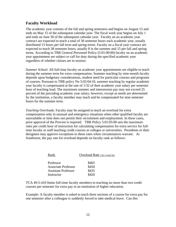#### <span id="page-19-0"></span>**Faculty Workload**

The academic year consists of the fall and spring semesters and begins on August 15 and ends on May 15 of the subsequent calendar year. The fiscal work year begins on July 1 and ends on June 30 of the subsequent calendar year. Faculty on an academic year contract are expected to teach a total of 30 semester hours each academic year, usually distributed 15 hours per fall term and spring terms. Faculty on a fiscal year contract are expected to teach 38 semester hours, usually 8 in the summer and 15 per fall and spring terms. According to TBR General Personnel Policy (5:01:00:00) faculty on an academic year appointment are subject to call for duty during the specified academic year regardless of whether classes are in session.

*Summer School.* All full-time faculty on academic year appointments are eligible to teach during the summer term for extra compensation. Summer teaching by nine-month faculty depends upon budgetary considerations, student need for particular courses and programs of courses. Pursuant to TBR policy No 5:02:04:10, summer teaching by regular academic year faculty is compensated at the rate of 1/32 of their academic year salary per semester hour of teaching load. The maximum summer and intersession pay may not exceed 25 percent of the preceding academic year salary; however, except as needs are determined by the institution, a faculty member may teach and be compensated for nine semester hours for the summer term.

*Teaching Overloads*. Faculty may be assigned to teach an overload for extra compensation only in unusual and emergency situations when other qualified faculty are unavailable or time does not permit their recruitment and employment. In these cases, prior approval of the Provost is required. TBR Policy 5:01:05:00 sets the maximum rates per credit hour of instruction for calculating compensation for extra service for fulltime faculty or staff teaching credit courses at colleges or universities. Presidents or their designees may approve exceptions to these rates when circumstances warrant. At Southwest, the pay rate for overload depends on faculty rank as follows:

| Rank                       | Overload Rate (Per Credit Hr) |
|----------------------------|-------------------------------|
|                            |                               |
| Professor                  | \$465                         |
| Associate Professor        | \$450                         |
| <b>Assistant Professor</b> | \$435                         |
| Instructor                 | \$420                         |

TCA 49-5-410 limits full-time faculty members to teaching no more than two credit courses per semester for extra pay in an institution of higher education.

Example: A faculty member is asked to teach three sections of a course for extra pay for one semester after a colleague is suddenly forced to take medical leave. Can this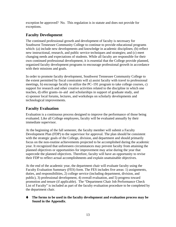<span id="page-20-0"></span>exception be approved? No. This regulation is in statute and does not provide for exceptions.

# **Faculty Development**

The continued professional growth and development of faculty is necessary for Southwest Tennessee Community College to continue to provide educational programs which: (a) include new developments and knowledge in academic disciplines; (b) reflect new instructional, research, and public service techniques and strategies; and (c) meet changing needs and expectations of students. While all faculty are responsible for their own continued professional development, it is essential that the College provide planned, organized faculty development programs to encourage professional growth in accordance with their missions and goals.

In order to promote faculty development, Southwest Tennessee Community College to the extent permitted by fiscal constraints will a) assist faculty with travel to professional meetings, b) encourage faculty to utilize the PC–191 program to take college courses, c) support for research and other creative activities related to the discipline in which one teaches, d) offer grants–in–aid and scholarships in support of graduate study, and e) sponsor local forums, lectures, and workshops on scholarly developments and technological improvements.

# **Faculty Evaluation**

Evaluation is a continuous process designed to improve the performance of those being evaluated. Like all College employees, faculty will be evaluated annually by their immediate supervisor.

At the beginning of the fall semester, the faculty member will submit a Faculty Development Plan (FDP) to the supervisor for approval. The plan should be consistent with the strategic goals of the College, division, and department and should primarily focus on the non-routine achievements projected to be accomplished during the academic year. It recognized that unforeseen circumstances may prevent faculty from attaining the planned objectives or opportunities for improvement may arise during the year that supercede the planned objectives. Therefore, faculty will have an opportunity to revise their FDP to reflect actual accomplishments and explain unattainable objectives.

At the end of the academic year, the department chair will evaluate faculty using the Faculty Evaluation Summary (FES) form. The FES includes five areas: 1) assignments, duties, and responsibilities, 2) college service (including department, division, and public), 3) professional development, 4) overall evaluation, and 5) progress toward promotion and tenure (if applicable). The "Department Chair Job Performance Check List of Faculty" is included as part of the faculty evaluation procedure to be completed by the department chair.

#### **The forms to be used in the faculty development and evaluation process may be found in the Appendix**.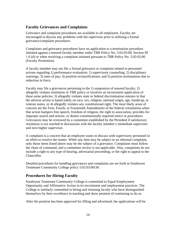# <span id="page-21-0"></span>**Faculty Grievances and Complaints**

Grievance and complaint procedures are available to all employees. Faculty are encouraged to discuss any problems with the supervisor prior to utilizing a formal grievance/complaint procedures.

Complaints and grievance procedures have no application to a termination procedure initiated against a tenured faculty member under TBR Policy No. 5:02:03:00, Section III 1 6 (d) or when resolving a complaint initiated pursuant to TBR Policy No. 5:02:02:00 (Faculty Promotion).

A faculty member may not file a formal grievance or complaint related to personnel actions regarding 1) performance evaluation; 1) supervisory counseling; 2) disciplinary warnings, 3) rates of pay; 4) position reclassifications; and 5) position terminations due to reduction in force.

Faculty may file a grievances pertaining to the 1) suspension of tenured faculty; 2) allegedly violates institution or TBR policy or involves an inconsistent application of these same policies, 3) allegedly violates state or federal discrimination statutes in that the adverse action is based solely on race, sex, religion, national origin, age, handicap, or veteran status, or 4) allegedly violates any constitutional right. The most likely areas of concern are the First, Fourth, or Fourteenth Amendments of the federal constitution when that action hampers free speech, freedom of religion, the right to association, provides for improper search and seizure, or denies constitutionally required notice or procedures. Grievances may be reviewed by a committee established by the President if satisfactory resolution is not reached in discussions with the faculty member's immediate supervisor and next higher supervisor.

A complaint is a concern that an employee wants to discuss with supervisory personnel in an effort to resolve the matter. While any item may be subject to an informal complaint, only those items listed above may be the subject of a grievance. Complaints must follow the chain of command, and a committee review is not applicable. Also, complaints do not include a right to any type of hearing, adversarial proceeding, or the right to appeal to the Chancellor.

Detailed procedures for handling grievances and complaints are set forth in Southwest Tennessee Community College policy 5:02:03:00/30.

#### **Procedures for Hiring Faculty**

Southwest Tennessee Community College is committed to Equal Employment Opportunity and Affirmative Action in its recruitment and employment practices. The College is similarly committed to hiring and retaining faculty who have distinguished themselves by their excellence in teaching and show promise of continuing to do so.

After the position has been approved for filling and advertised, the applications will be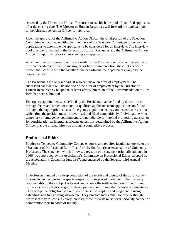<span id="page-22-0"></span>screened by the Director of Human Resources to establish the pool of qualified applicants after the closing date. The Director of Human Resources will forward the applicant pool to the Affirmative Action Officer for approval.

Upon the approval of the Affirmative Action Officer, the Chairperson of the Selection Committee will convene with other members of the Selection Committee to review the applications to determine the applicants to be considered for an interview. The interview pool must be forwarded to the Director of Human Resources and the Affirmative Action Officer for approval prior to interviewing any applicants.

All appointments of ranked faculty are made by the President on the recommendation of the chief academic officer. In making his or her recommendation, the chief academic officer shall consult with the faculty of the department, the department chair, and the respective dean.

The President is the only individual who can make an offer of employment. The successful candidate will be notified of the offer of employment by the Director of Human Resources by telephone or letter after submission of the Recommendation to Hire form has been submitted.

Emergency appointments, as defined by the President, may be filled by direct hire or through the establishment of a pool of qualified applicants from applications on file or through other appropriate means. Emergency appointments may not exceed one year, at which time the position must be advertised and filled competitively. Individuals serving temporary or emergency appointments are not eligible for internal promotion, transfer, or for consideration as internal applicants unless it is determined by the Affirmative Action Officer that the original hire was through a competitive process.

## **Professional Ethics**

Southwest Tennessee Community College endorses and requires faculty adherence to the "Statement of Professional Ethics" set forth by the American Association of University Professors. The statement which follows, a revision of a statement originally adopted in 1966, was approved by the Association's Committee on Professional Ethics, adopted by the Association's Council in June 1987, and endorsed by the Seventy-third Annual Meeting.

1. Professors, guided by a deep conviction of the worth and dignity of the advancement of knowledge, recognize the special responsibilities placed upon them. Their primary responsibility to their subject is to seek and to state the truth as they see it. To this end professors devote their energies to developing and improving their scholarly competence. They accept the obligation to exercise critical self-discipline and judgment in using, extending, and transmitting knowledge. They practice intellectual honesty. Although professors may follow subsidiary interests, these interests must never seriously hamper or compromise their freedom of inquiry.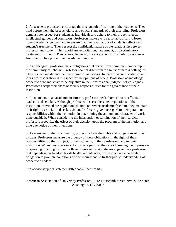2. As teachers, professors encourage the free pursuit of learning in their students. They hold before them the best scholarly and ethical standards of their discipline. Professors demonstrate respect for students as individuals and adhere to their proper roles as intellectual guides and counselors. Professors make every reasonable effort to foster honest academic conduct and to ensure that their evaluations of students reflect each student's true merit. They respect the confidential nature of the relationship between professor and student. They avoid any exploitation, harassment, or discriminatory treatment of students. They acknowledge significant academic or scholarly assistance from them. They protect their academic freedom.

3. As colleagues, professors have obligations that derive from common membership in the community of scholars. Professors do not discriminate against or harass colleagues. They respect and defend the free inquiry of associates. In the exchange of criticism and ideas professors show due respect for the opinions of others. Professors acknowledge academic debt and strive to be objective in their professional judgment of colleagues. Professors accept their share of faculty responsibilities for the governance of their institution.

4. As members of an academic institution, professors seek above all to be effective teachers and scholars. Although professors observe the stated regulations of the institution, provided the regulations do not contravene academic freedom, they maintain their right to criticize and seek revision. Professors give due regard to their paramount responsibilities within the institution in determining the amount and character of work done outside it. When considering the interruption or termination of their service, professors recognize the effect of their decision upon the program of the institution and give due notice of their intentions.

5. As members of their community, professors have the rights and obligations of other citizens. Professors measure the urgency of these obligations in the light of their responsibilities to their subject, to their students, to their profession, and to their institution. When they speak or act as private persons, they avoid creating the impression of speaking or acting for their college or university. As citizens engaged in a profession that depends upon freedom for its health and integrity, professors have a particular obligation to promote conditions of free inquiry and to further public understanding of academic freedom.

http://www.aaup.org/statements/Redbook/Rbethics.htm

American Association of University Professors, 1012 Fourteenth Street, NW, Suite #500; Washington, DC 20005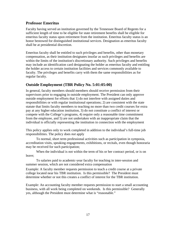#### <span id="page-24-0"></span>**Professor Emeritus**

Faculty having served an institution governed by the Tennessee Board of Regents for a sufficient length of time to be eligible for state retirement benefits shall be eligible for emeritus faculty status upon retirement from the institution. Emeritus faculty status is an honor bestowed for distinguished institutional services. Designation as emeritus faculty shall be at presidential discretion.

Emeritus faculty shall be entitled to such privileges and benefits, other than monetary compensation, as their institution designates insofar as such privileges and benefits are within the limits of the institution's discretionary authority. Such privileges and benefits may include an identification card designating the holder as emeritus faculty and entitling the holder access to certain institution facilities and services commonly available to faculty. The privileges and benefits carry with them the same responsibilities as for regular faculty.

# **Outside Employment (TBR Policy No. 5:01:05:00)**

In general, faculty members should members should receive permission from their supervisors prior to engaging in outside employment. The President can only approve outside employment for efforts that 1) do not interfere with assigned duties and responsibilities or with regular institutional operations; 2) are consistent with the state statute that limits faculty members to teaching no more than two credit courses for extra pay at any higher education institution, 3) do not constitute a conflict of interest or compete with the College's programs, 4) require only a reasonable time commitment from the employee, and 5) are not undertaken with an inappropriate claim that the individual is officially representing the institution in connection with the employment

This policy applies only to work completed in addition to the individual's full-time job responsibilities. The policy does *not* apply

To normal, short term professional activities such as participation in symposia, accreditation visits, speaking engagements, exhibitions, or recitals, even though honoraria may be received for such participation;

When the individual is not within the term of his or her contract period, or is on leave;

To salaries paid to academic-year faculty for teaching in inter-session and summer session, which are not considered extra compensation

Example: A faculty member requests permission to teach a credit course at a private college located near his TBR institution. Is this permissible? The President must determine whether or not this creates a conflict of interest for the TBR institution.

Example: An accounting faculty member requests permission to start a small accounting business, with all work being completed on weekends. Is this permissible? Generally yes, although the President must determine what is "reasonable."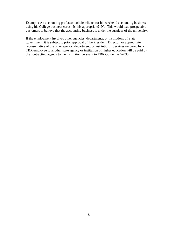Example: An accounting professor solicits clients for his weekend accounting business using his College business cards. Is this appropriate? No. This would lead prospective customers to believe that the accounting business is under the auspices of the university.

If the employment involves other agencies, departments, or institutions of State government, it is subject to prior approval of the President, Director, or appropriate representative of the other agency, department, or institution. Services rendered by a TBR employee to another state agency or institution of higher education will be paid by the contracting agency to the institution pursuant to TBR Guideline G-030.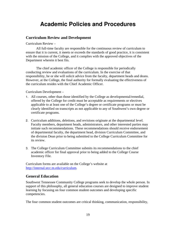# **Academic Policies and Procedures**

#### <span id="page-26-0"></span>**Curriculum Review and Development**

Curriculum Review –

All full-time faculty are responsible for the continuous review of curriculum to ensure that it is current, it meets or exceeds the standards of good practice, it is consistent with the mission of the College, and it complies with the approved objectives of the Department wherein it best fits.

The chief academic officer of the College is responsible for periodically conducting review and evaluations of the curriculum. In the exercise of that responsibility, he or she will solicit advice from the faculty, department heads and deans. However, at the College, the final authority for formally evaluating the effectiveness of the curriculum resides with the Chief Academic Officer.

Curriculum Development –

- 1. All courses, other than those identified by the College as developmental/remedial, offered by the College for credit must be acceptable as requirements or electives applicable to at least one of the College's degree or certificate programs or must be clearly identified on transcripts as not applicable to any of Southwest's own degree or certificate programs.
- 2. Curriculum additions, deletions, and revisions originate at the departmental level. Faculty members, department heads, administrators, and other interested parties may initiate such recommendations. These recommendations should receive endorsement of departmental faculty, the department head, division Curriculum Committee, and the division Dean prior to being submitted to the College Curriculum Committee for its review.
- 3. The College Curriculum Committee submits its recommendations to the chief academic officer for final approval prior to being added to the College Course Inventory File.

Curriculum forms are available on the College's website at [http://internal.stcc.tn.edu/curriculum.](http://internal.stcc.tn.edu/curriculum)

## **General Education**

Southwest Tennessee Community College programs seek to develop the whole person. In support of this philosophy, all general education courses are designed to improve student learning by focusing on four common student outcomes and developing specific competencies.

The four common student outcomes are critical thinking, communication, responsibility,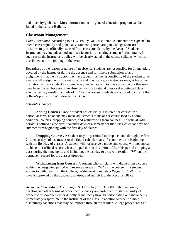<span id="page-27-0"></span>and diversity/globalism. More information on the general education program can be found in the current Bulletin.

#### **Classroom Management**

*Class Attendance*. According to STCC Policy No. 2:03:00:00/33, students are expected to attend class regularly and punctually. Students participating in College sponsored activities may be officially excused from class attendance by the Dean of Students. Instructors may include attendance as a factor in calculating a student's final grade. In such cases, the instructor's policy will be clearly stated in the course syllabus, which is distributed at the beginning of the term.

Regardless of the reason or nature of an absence, students are responsible for all materials covered by the instructor during the absence and for timely submission of any assignments that the instructor may have given. It is the responsibility of the student to be aware of all assignments. For reasonable and good cause, an instructor may, at his or her discretion, allow a student to submit assignments late and to make up any work that may have been missed because of an absence. Failure to attend class or discontinued class attendance may result in a grade of "F" for the course. Students are advised to consult the college's policy on "Withdrawal from Class."

#### *Schedule Changes:*

**Adding Courses**. Once a student has officially registered for courses in a particular term, he or she may make adjustments to his or her course load by adding additional courses, dropping courses, and withdrawing from courses. The official Add period is defined as the first 7 calendar days of a semester or the first 4 calendar days of a summer term beginning with the first day of classes.

**Dropping Courses.** A student may be permitted to drop a course through the first 7 calendar days of a semester or the first 4 calendar days of a summer term beginning with the first day of classes. A student will not receive a grade, and course will not appear on his or her official record when dropped during this period. After this period dropping a class during the time up to, and including, the last day to drop will result in "W" on the permanent record for the classes dropped.

**Withdrawing from Courses**. A student who officially withdraws from a course within the designated period will receive a grade of "W" for the course. If a student wishes to withdraw from the College, he/she must complete a *Request to Withdraw* form, have it approved by the academic advisor, and submit it to the Records Office.

*Academic Misconduct.* According to STCC Policy No. 3:02:00:01/6, plagiarism, cheating and other forms of academic dishonesty are prohibited. A student guilty of academic misconduct, either directly or indirectly through participation or assistance, is immediately responsible to the instructor of the class. In addition to other possible disciplinary sanctions that may be imposed through the regular College procedures as a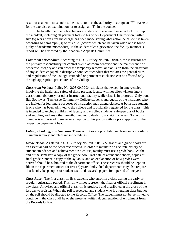result of academic misconduct, the instructor has the authority to assign an "F" or a zero for the exercise or examination, or to assign an "F" in the course.

The faculty member who charges a student with academic misconduct must report the incident, including all pertinent facts to his or her Department Chairperson, within five (5) work days after the charge has been made stating what action he or she has taken according to paragraph (B) of this rule, (actions which can be taken when one is found guilty of academic misconduct). If the student files a grievance, the faculty member's report will be reviewed by the Academic Appeals Committee.

*Classroom Misconduct.* According to STCC Policy No 3:02:00:01/7, the instructor has the primary responsibility for control over classroom behavior and the maintenance of academic integrity and can order the temporary removal or exclusion from the classroom of any student engaged in disruptive conduct or conduct that violates the general rules and regulations of the College. Extended or permanent exclusion can be affected only through appropriate procedures of the College.

*Classroom Visitors.* Policy No: 2:03:00:00/34 stipulates that except in emergencies involving the health and safety of those present, faculty will not allow visitors into a classroom, laboratory, or other instructional facility while class is in progress. Only bona fide Southwest Tennessee Community College students and guests of the instructor who are invited for legitimate purposes of instruction may attend classes. A bona fide student is one who has been admitted to the college and is officially registered for the class. This is intended to exclude children of faculty and enrolled students, salespersons of books and supplies, and any other unauthorized individuals from visiting classes. No faculty member is authorized to make an exception to this policy without prior approval of the respective department head

*Eating, Drinking, and Smoking.* These activities are prohibited in classrooms in order to maintain sanitary and pleasant surroundings.

*Grade Books.* As stated in STCC Policy No. 2:00:00:00/22 grades and grade books are an essential part of the academic process. In order to maintain an accurate history of student attendance and achievement in a course, faculty must use a grade book. At the end of the semester, a copy of the grade book, last date of attendance sheets, copies of final grade runners, a copy of the syllabus, and an explanation of how grades were derived should be submitted to the department office. These records should be kept on file in the department office for five (5) years. Individual departments may also require that faculty keep copies of student tests and research papers for a period of one year.

*Class Rolls*. The first class roll lists students who enroll in a class during the early or regular registration period. This roll will not represent the final or official enrollment in any class. A revised and official class roll is produced and distributed at the close of the last day to register. When the roll is received, any student who is attending class but not on the roll should be directed to the Records Office. The student must not be permitted to continue in the class until he or she presents written documentation of enrollment from the Records Office.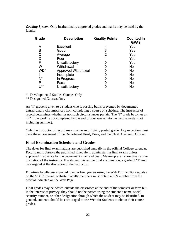<span id="page-29-0"></span>*Grading System.* Only institutionally approved grades and marks may be used by the faculty.

| Grade   | <b>Description</b>  | <b>Quality Points</b> | <b>Counted in</b><br>GPA? |
|---------|---------------------|-----------------------|---------------------------|
| А       | Excellent           | 4                     | Yes                       |
| B       | Good                | 3                     | Yes                       |
| C       | Average             | 2                     | Yes                       |
|         | Poor                |                       | Yes                       |
| F       | Unsatisfactory      | 0                     | Yes                       |
| W       | Withdrawal          | 0                     | <b>No</b>                 |
| WD*     | Approved Withdrawal |                       | <b>No</b>                 |
|         | Incomplete          |                       | No                        |
| $N^*$   | In Progress         | 0                     | No                        |
| P       | Pass                |                       | No.                       |
| $1$  ** | Unsatisfactory      |                       | No                        |

\* Developmental Studies Courses Only

\*\* Designated Courses Only

An "I" grade is given to a student who is passing but is prevented by documented extraordinary circumstances from completing a course on schedule. The instructor of record determines whether or not such circumstances pertain. The "I" grade becomes an "F" if the work is not completed by the end of four weeks into the next semester (not including summer).

Only the instructor of record may change an officially posted grade. Any exception must have the endorsement of the Department Head, Dean, and the Chief Academic Officer.

## **Final Examination Schedule and Grades**

The dates for final examinations are published annually in the official College calendar. Faculty must observe the published schedule in administering final exams unless approved in advance by the department chair and dean. Make–up exams are given at the discretion of the instructor. If a student misses the final examination, a grade of "I" may be assigned at the discretion of the instructor,

Full–time faculty are expected to enter final grades using the Web For Faculty available on the STCC internal website. Faculty members must obtain a PIN number from the official indicated on the Web Page.

Final grades may be posted outside the classroom at the end of the semester or term but, in the interest of privacy, they should not be posted using the student's name, social security number, or other designation through which the student may be identified. In general, students should be encouraged to use Web for Students to obtain their course grades.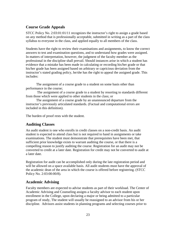# <span id="page-30-0"></span>**Course Grade Appeals**

STCC Policy No. 2:03:01:01/11 recognizes the instructor's right to assign a grade based on any method that is professionally acceptable, submitted in writing as a part of the class syllabus to everyone in the class, and applied equally to all members of the class.

Students have the right to review their examinations and assignments, to know the correct answers to test and examination questions, and to understand how grades were assigned. In matters of interpretation, however, the judgment of the faculty member as the professional in the discipline shall prevail. Should instances arise in which a student has evidence that a mistake has been made in calculating or recording his/her grade or that his/her grade has been assigned based on arbitrary or capricious deviation from the instructor's stated grading policy, he/she has the right to appeal the assigned grade. This includes:

The assignment of a course grade to a student on some basis other than performance in the course;

 The assignment of a course grade to a student by resorting to standards different from those which were applied to other students in the class; or

The assignment of a course grade by an unannounced departure from the instructor's previously articulated standards. (Factual and computational errors are included in this definition).

The burden of proof rests with the student.

## **Auditing Classes**

An audit student is one who enrolls in credit classes on a non-credit basis. An audit student is expected to attend class but is not required to hand in assignments or take examinations. The student must demonstrate that prerequisites have been met, that sufficient prior knowledge exists to warrant auditing the course, or that there is a compelling reason to justify auditing the course. Registration for an audit may not be converted to credit at a later date. Registration for credit may not be converted to audit at a later date.

Registration for audit can be accomplished only during the late registration period and will be allowed on a space available basis. All audit students must have the approval of the academic dean of the area in which the course is offered before registering. (STCC Policy No. 2:03:00:00/8).

#### **Academic Advising**

Faculty members are expected to advise students as part of their workload. The Center of Academic Advising and Counseling assigns a faculty advisor to each student upon enrollment in the College, upon declaring a major or being admitted to a particular program of study, The student will usually be reassigned to an advisor from his or her discipline. Advisors assist students in planning programs and selecting courses prior to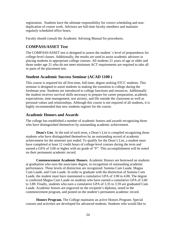<span id="page-31-0"></span>registration. Students have the ultimate responsibility for correct scheduling and nonduplication of course work. Advisors are full-time faculty members and maintain regularly scheduled office hours.

Faculty should consult the Academic Advising Manual for procedures.

#### **COMPASS/ASSET Test**

The COMPASS/ASSET test is designed to assess the student 's level of preparedness for college-level classes. Additionally, the results are used to assist academic advisors in placing students in appropriate college courses. All students 21 years of age or older and those under age 21 who do not meet minimum ACT requirements are required to take all or parts of the placement test.

#### **Student Academic Success Seminar (ACAD 1100 )**

This course is required for all first-time, full-time, degree seeking STCC students. This seminar is designed to assist students in making the transition to college during the freshman year. Students are introduced to college functions and resources. Additionally the student receives survival skills necessary to prepare for career preparation, academic expectations, time management, test anxiety, and life outside the classroom as well as personal values and relationships. Although this course is not required of all students, it is highly recommended that new students register for the course.

#### **Academic Honors and Awards**

The college has established a number of academic honors and awards recognizing those who have distinguished themselves by outstanding academic achievement.

**Dean's List***.* At the end of each term, a Dean's List is compiled recognizing those students who have distinguished themselves by an outstanding record of academic achievement for the semester just ended. To qualify for the Dean's List, a student must have completed at least 12 credit hours of college-level courses during the term and earned a GPA of 3.00 or higher with no grade of "F". This accomplishment will be noted on their permanent academic record.

**Commencement Academic Honors**. Academic Honors are bestowed on students at graduation who earn the associates degree, in recognition of outstanding academic performance. Three levels of distinction are recognized: Summa Cum Laude, Magna Cum Laude, and Cum Laude. In order to graduate with the distinction of Summa Cum Laude, the student must have maintained a cumulative GPA of 3.90 to 4.00. The degree is conferred Magna Cum Laude on students who have earned a cumulative GPA of 3.60 to 3.89. Finally, students who earn a cumulative GPA of 3.35 to 3.59 are graduated Cum Laude. Academic honors are engraved on the recipient's diploma, noted in the commencement program, and posted on the student's permanent academic record.

**Honors Program.** The College maintains an active Honors Program. Special courses and activities are developed for advanced students. Students who would like to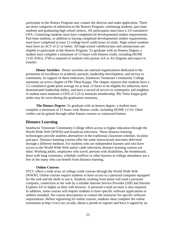<span id="page-32-0"></span>participate in the Honors Program may contact the director and make application. There are three categories of admission to the Honors Program: continuing students, part-time students and graduating high school seniors. All participants must have a 3.0 cumulative GPA. Continuing students must have completed all developmental studies requirements. Part-time students, in addition to having completed developmental studies requirements, must have completed at least 12 college-level credit hours of study. High school students must have an ACT of 21 or better. All high school valedictorians and salutatorians are eligible to participate in the Honors Program. To graduate with an Honors Degree, a student must complete a minimum of 15 hours with Honors credit, including HONR 1110. ENGL 2760 is required of students who pursue AA or AS Degrees and expect to transfer.

**Honor Societies.** Honor societies are national organizations dedicated to the promotion of excellence in academic pursuits, leadership development, and service to community. In support of these endeavors, Southwest Tennessee Community College maintains an active chapter of Phi Theta Kappa. The chapter requires that students have a 3.5 cumulative grade point average on at least 12 hours to be eligible for induction, have demonstrated leadership ability, and have a record of service to community and neighbor. A student must maintain a GPA of 3.25 to maintain membership. Phi Theta Kappa gold stoles may be worn during the graduation ceremony.

**The Honors Degree:** To graduate with an honors degree, a student must complete a minimum of 15 hours with Honors credit, including HONR 11110. Other credits can be gained through either honors courses or contracted honors.

#### **Distance Learning**

Southwest Tennessee Community College offers access to higher education through the World Wide Web (WWW) and broadcast television. These distance learning technologies provide students alternatives to the traditional classroom schedule, location and pace. Distance learning courses offer the same instructional outcomes delivered through a different medium. For students who are independent learners and who have access to the World Wide Web and/or cable television, distance learning courses are ideal. Working adults, employees who travel, persons with disabilities, the homebound, those with long commutes, schedule conflicts or other barriers to college attendance are a few of the many who can benefit from distance learning.

#### **Online Courses**

STCC offers a wide array of college credit courses through the World Wide Web (WWW). Online courses require students to have access to a personal computer equipped for the web and the skills to use it. Students working from home will need a personal computer, connection to the web by a reliable Internet Service Provider (ISP) and Internet Explorer 4.0 or higher as their web browser. A personal e-mail account is also required. In addition, some courses will require students to have specific software applications or utilities installed. See course descriptions or contact the instructor for specific software requirements. Before registering for online courses, students must complete the online orientation at http://ww2.stcc.tn.edu, obtain a permit to register and have it signed by an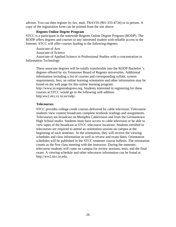advisor. You can then register by fax, mail, TRAVIS (901-333-4734) or in person. A copy of the registration form can be printed from the site above.

#### **Regents Online Degree Program**

STCC is a participant in the statewide Regents Online Degree Program (RODP). The RODP offers degrees and courses to any interested student with reliable access to the Internet. STCC will offer courses leading to the following degrees:

Associate of Arts Associate of Science

Associate of Applied Science in Professional Studies with a concentration in Information Technology

These associate degrees will be totally transferable into the RODP Bachelor 's degrees offered by six Tennessee Board of Regents universities. Additional information including a list of courses and corresponding syllabi, system requirements, fees, an online learning orientation and other information may be found on the web page for this online learning program: http://www.tn.regentsdegrees.org. Students interested in registering for these courses at STCC would go to the following web address: http:ww2.stcc.cc.tn.us/rodp/.

#### **Telecourses**

STCC provides college-credit courses delivered by cable television. Telecourse students view content broadcasts complete textbook readings and assignments. Telecourses are broadcast on Memphis Cablevision and from the Germantown High School studio. Students must have access to cable television or be able to view tapes of the broadcast at STCC telecourse locations. Students enrolled in telecourses are required to attend an orientation session on campus at the beginning of each semester. At the orientation, they will receive the viewing schedules and class information as well as review and exam dates. Orientation schedules will be published in the STCC semester course bulletin. The orientation counts as the first class meeting with the instructor. During the semester, telecourse students will come on campus for review sessions, tests, and the final exam. A viewing schedule and other telecourse information can be found at http://ww2.stcc.tn.edu.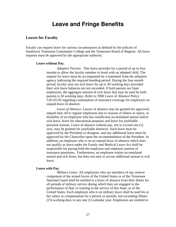# **Leave and Fringe Benefits**

#### <span id="page-34-0"></span>**Leaves for Faculty**

Faculty can request leave for various circumstances as defined by the policies of Southwest Tennessee Community College and the Tennessee Board of Regents. All leave requests must be approved by the appropriate authority.

#### **Leave without Pay.**

*Adoptive Parents.* This leave provides for a period of up to four months to allow the faculty member to bond with an adopted child. The request for leave must be accompanied by a statement from the adoption agency indicating the required bonding period. During the four-month period, faculty may use sick leave for up to 30 working days provided their sick leave balances are not exceeded. If both parents are State employees, the aggregate amount of sick leave that may be used by both parents is 30 working days. Refer to TBR Leave of Absence Policy 5:01:01:03 regarding continuation of insurance coverage for employees on unpaid leave of absence.

*Leave of Absence.* Leaves of absence may be granted for approved, unpaid time off to regular employees due to reasons of illness or injury, or disability of an employee who has insufficient accumulated annual and/or sick leave, leave for educational purposes and leave for justifiable personal reasons. Leave of absence without pay, not to exceed one (1) year, may be granted for justifiable absences. Such leave must be approved by the President or designee, and any additional leave must be approved by the Chancellor upon the recommendation of the President. In addition, an employee who is on an unpaid leave of absence which does not qualify as leave under the Family and Medical Leave Act shall be responsible for paying both the employee and employer portion of insurance premiums. Furthermore, an employee retains accumulated annual and sick leave, but does not earn or accrue additional annual or sick leave.

#### **Leave with Pay.**

*Military Leave*. All employees who are members of any reserve component of the armed forces of the United States or of the Tennessee National Guard shall be entitled to a leave of absence from their duties for all periods of military service during which they are engaged in the performance of duty or training in the service of this State, or of the United States. Each employee who is on military leave shall be paid his or her salary or compensation for a period, or periods, not exceeding fifteen (15) working days in any one (1) calendar year. Employees are entitled to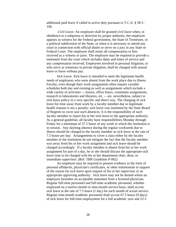additional paid leave if called to active duty pursuant to T.C.A. § 58-1- 106.

 *Civil Leave*. An employee shall be granted civil leave when, in obedience to a subpoena or direction by proper authority, the employee appears as witness for the Federal government, the State of Tennessee, or a political subdivision of the State, or when it is necessary to attend any court in connection with official duties or serve on a jury in any State or Federal Court. The employee shall retain all compensation or fees received as a witness or juror. The employee may be required to provide a statement from the court which includes dates and times of service and any compensation received. Employees involved in personal litigation, or who serve as witnesses in private litigation, shall be charged with annual leave or leave without pay.

*Sick Leave*. Sick leave is intended to meet the legitimate health needs of employees who were absent from the work place due to illness. Faculty, even though their work assignments often require variable schedules both day and evening as well as assignments which include a wide variety of activities -- classes, office hours, committee assignments, research in laboratories and libraries, etc. -- are, nevertheless, subject to sick leave policy in a very specific and direct way. The charging of sick leave for time away from work by a faculty member due to legitimate health reasons is not a penalty; sick leave was instituted by the State Board of Regents to cover just such absences. It is the responsibility of each faculty member to report his or her sick leave to the appropriate authority. As a general guideline, all faculty have responsibilities Monday through Friday for a minimum of 37.5 hours of any week in which the institution is in session. Any daylong absence during the regular workweek due to illness should be charged to the faculty member as sick leave at the rate of 7.5 hours per day. Arrangements to cover a class either by the faculty member or the institution do not mitigate the fact that the faculty member was away from his or her work assignment and sick leave should be charged accordingly. If a faculty member is absent from his or her work assignment for part of a day, he or she should discuss the appropriate sick leave time to be charged with his or her department chair, dean, or immediate supervisor. (Ref: TBR Guideline P-062)

An employee may be required to present evidence in the form of personal affidavits, physician's certificates, or other testimonials in support of the reason for sick leave upon request of his or her supervisor or an appropriate approving authority. Sick leave may not be denied where an employee furnishes an acceptable statement from a licensed physician. Regular full-time personnel and full-time academic personnel, whether employed on a twelve-month or nine-month service basis, shall accrue sick leave at the rate of 7.5 hours (1 day) for each month of actual service. Regular nine-month academic personnel shall accrue 67.5 hours (9 days) of sick leave for full-time employment for a full academic year and 22.5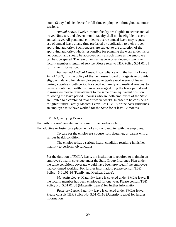hours (3 days) of sick leave for full-time employment throughout summer sessions.

*Annual Leave*. Twelve–month faculty are eligible to accrue annual leave. Nine, ten, and eleven–month faculty shall not be eligible to accrue annual leave. All personnel entitled to accrue annual leave may request use of annual leave at any time preferred by application to their proper approving authority. Such requests are subject to the discretion of the approving authority, who is responsible for planning the work under his or her control, and should be approved only at such times as the employee can best be spared. The rate of annual leave accrual depends upon the faculty member's length of service. Please refer to TBR Policy 5:01:01:01 for further information.

*Family and Medical Leave*. In compliance with the Family Leave Act of 1993, it is the policy of the Tennessee Board of Regents to provide eligible male and female employees up to twelve workweeks of leave during a twelve month period for specified family and medical reasons, to provide continued health insurance coverage during the leave period and to insure employee reinstatement to the same or an equivalent position following the leave period. Spouses who are both employees of the State are limited to a combined total of twelve weeks. In order to be considered "eligible" under Family Medical Leave Act (FMLA or the Act) guidelines, an employee must have worked for the State for at least 12 months.

FMLA Qualifying Events:

The birth of a son/daughter and to care for the newborn child;

The adoptive or foster care placement of a son or daughter with the employee;

To care for the employee's spouse, son, daughter, or parent with a serious health condition;

The employee has a serious health condition resulting in his/her inability to perform job functions.

For the duration of FMLA leave, the institution is required to maintain an employee's health coverage under the State Group Insurance Plan under the same conditions coverage would have been provided if the employee had continued working. For further information, please consult TBR Policy 5:01:01:14 (Family and Medical Leave).

*Maternity Leave*. Maternity leave is covered under FMLA leave, if the faculty member has been employed for one year. Please consult TBR Policy No. 5:01:01:08 (Maternity Leave) for further information.

*Paternity Leave*. Paternity leave is covered under FMLA leave. Please consult TBR Policy No. 5:01:01:16 (Paternity Leave) for further information.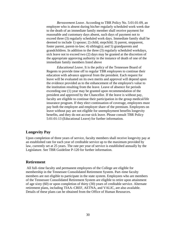<span id="page-37-0"></span>*Bereavement Leave*. According to TBR Policy No. 5:01:01:09, an employee who is absent during his/her regularly scheduled work week due to the death of an immediate family member shall receive payment for reasonable and customary days absent, such days of payment not to exceed three (3) regularly scheduled work days. Immediate family shall be deemed to include 1) spouse; 2) child, stepchild; 3) parent, stepparent, foster parent, parent-in-law; 4) sibling(s); and 5) grandparents and grandchildren. In addition to the three (3) regularly scheduled workdays, sick leave not to exceed two (2) days may be granted at the discretion of the appropriate approving authority in the instance of death of one of the immediate family members listed above

*Educational Leave*. It is the policy of the Tennessee Board of Regents to provide time off to regular TBR employees to continue their education with advance approval from the president. Each request for leave will be evaluated on its own merits and approval will depend upon the evidence provided as to the enhancement of the employee's value to the institution resulting from the leave. Leave of absence for periods exceeding one (1) year may be granted upon recommendation of the president and approved by the Chancellor. If the leave is without pay, faculty are eligible to continue their participation in the group medical/life insurance program. If they elect continuation of coverage, employees must pay both the employee and employer share of the premium. Employees on leave without pay are not eligible for unemployment benefits longevity benefits, and they do not accrue sick leave. Please consult TBR Policy 5:01:01:13 (Educational Leave) for further information.

#### **Longevity Pay**

Upon completion of three years of service, faculty members shall receive longevity pay at an established rate for each year of creditable service up to the maximum provided by law, currently set at 25 years. The rate per year of service is established annually by the Legislature. See TBR Guideline P-120 for further information.

#### **Retirement**

 All full–time faculty and permanent employees of the College are eligible for membership in the Tennessee Consolidated Retirement System. Part–time faculty members are not eligible to participate in the state system. Employees who are members of the Tennessee Consolidated Retirement System are eligible to retire upon attainment of age sixty (60) or upon completion of thirty (30) years of creditable service. Alternate retirement plans, including TIAA–CREF, AETNA, and VALIC, are also available. Details of these plans can be obtained from the Office of Human Resources.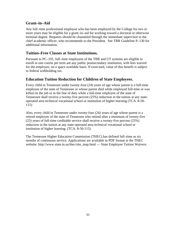#### <span id="page-38-0"></span>**Grant–in–Aid**

Any full–time professional employee who has been employed by the College for two or more years may be eligible for a grant–in–aid for working toward a doctoral or otherwise terminal degree. Requests should be channeled through the immediate supervisor to the chief academic officer, who recommends to the President. See TBR Guideline P–130 for additional information.

#### **Tuition–Free Classes at State Institutions.**

Pursuant to PC–191, full–time employees of the TBR and UT systems are eligible to enroll in one course per term ant any public postsecondary institution, with fees waived for the employee, on a space available basis. If exercised, value of this benefit is subject to federal withholding tax.

## **Education Tuition Reduction for Children of State Employees.**

Every child in Tennessee under twenty-four (24) years of age whose parent is a full-time employee of the state of Tennessee or whose parent died while employed full-time or was killed on the job or in the line of duty while a full-time employee of the state of Tennessee shall receive a twenty-five percent (25%) reduction in the tuition at any stateoperated area technical vocational school or institution of higher learning (TCA. 8-50- 115)

Also, every child in Tennessee under twenty-four (24) years of age whose parent is a retired employee of the state of Tennessee who retired after a minimum of twenty-five (25) years of full-time creditable service shall receive a twenty-five percent (25%) reduction in the tuition at any state-operated area technical vocational school or institution of higher learning. (TCA. 8-50-115)

The Tennessee Higher Education Commission (THEC) has defined full–time as six months of continuous service. Applications are available in PDF format at the THEC website: http://www.state.tn.us/thec/site\_map.html — State Employee Tuition Waivers.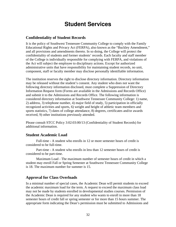# **Student Services**

#### <span id="page-39-0"></span>**Confidentiality of Student Records**

It is the policy of Southwest Tennessee Community College to comply with the Family Educational Rights and Privacy Act (FERPA), also known as the "Buckley Amendment," and all provisions and amendments thereto. In so doing, the College will protect the confidentiality of students and former students' records. Each faculty and staff member of the College is individually responsible for complying with FERPA, and violations of the Act will subject the employee to disciplinary actions. Except for authorized administrative units that have responsibility for maintaining student records, no unit, component, staff or faculty member may disclose personally identifiable information.

The institution reserves the right to disclose directory information. Directory information may be released without the student's consent. Any student who does not want the following directory information disclosed, must complete a Suppression of Directory Information Request form (Forms are available in the Admissions and Records Office) and submit it to the Admissions and Records Office. The following information is considered directory information at Southwest Tennessee Community College: 1) name, 2) address, 3) telephone number, 4) major field of study, 5) participation in officially recognized activities and sports, 6) weight and height of athletic team members and sports statistics, 7) dates of college attendance, 8) degrees, certificates and/or awards received, 9) other institutions previously attended.

Please consult STCC Policy 3:02:03:00/13 (Confidentiality of Student Records) for additional information.

#### **Student Academic Load**

Full-time - A student who enrolls in 12 or more semester hours of credit is considered to be full-time.

Part-time - A student who enrolls in less than 12 semester hours of credit is considered to be part-time.

Maximum Load - The maximum number of semester hours of credit in which a student may enroll Fall or Spring Semester at Southwest Tennessee Community College is 18. The maximum number for summer is 15.

#### **Approval for Class Overloads**

In a minimal number of special cases, the Academic Dean will permit students to exceed the academic maximum load for the term. A request to exceed the maximum class load may not be made by students enrolled in developmental studies courses. Permission of the Academic Dean is required for any student who wants to enroll in more than 18 semester hours of credit fall or spring semester or for more than 15 hours summer. The appropriate form indicating the Dean's permission must be submitted to Admissions and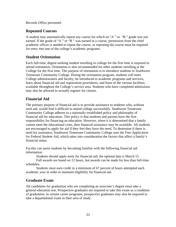<span id="page-40-0"></span>Records Office personnel.

## **Repeated Courses**

A student may automatically repeat any course for which an "A " or "B " grade was not earned. If the grade of "A " or "B " was earned in a course, permission from the chief academic officer is needed to repeat the course; or repeating the course must be required for entry into one of the college's academic programs.

## **Student Orientation**

Each full-time, degree-seeking student enrolling in college for the first time is required to attend orientation. Orientation is also recommended for other students enrolling at the College for the first time. The purpose of orientation is to introduce students to Southwest Tennessee Community College. During the orientation program, students will meet College administrators and faculty, be introduced to academic programs and services, learn about financial aid and registration procedures, and learn of the various facilities available throughout the College's service area. Students who have completed admissions may also be allowed to actually register for classes.

# **Financial Aid**

The primary purpose of financial aid is to provide assistance to students who, without such aid, would find it difficult to attend college successfully. Southwest Tennessee Community College adheres to a nationally established policy and philosophy of financial aid for education. This policy is that students and parents have the first responsibility for financing an education. However, when it is determined that a family cannot meet the educational costs, then financial assistance may be available. All students are encouraged to apply for aid if they feel they have the need. To determine if there is need for assistance; Southwest Tennessee Community College uses the Free Application for Federal Student Aid, which takes into consideration the factors that affect a family's financial status.

Faculty can assist students by becoming familiar with the following financial aid information

Students should apply early for financial aid; the optimal date is March 15

Full awards are based on 12 hours, but awards can be made for less than full-time schedules.

Students must earn credit in a minimum of 67 percent of hours attempted each academic year in order to maintain eligibility for financial aid.

# **Graduate Exam**

All candidates for graduation who are completing an associate's degree must take a general education test. Prospective graduates are required to take this exam as a condition of graduation. In certain career programs, prospective graduates may also be required to take a departmental exam in their area of study.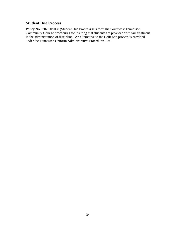#### <span id="page-41-0"></span>**Student Due Process**

Policy No. 3:02:00:01/8 (Student Due Process) sets forth the Southwest Tennessee Community College procedures for insuring that students are provided with fair treatment in the administration of discipline. An alternative to the College's process is provided under the Tennessee Uniform Administrative Procedures Act.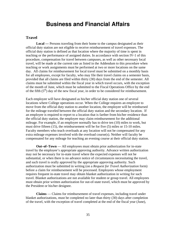# **Business and Financial Affairs**

#### <span id="page-42-0"></span>**Travel**

**Local —** Persons traveling from their home to the campus designated as their official duty station are not eligible to receive reimbursement of travel expenses. The official duty station is defined as that location where the majority of time is spent in teaching or the performance of assigned duties. In accordance with section IV-1 of this procedure, compensation for travel between campuses, as well as other necessary local travel, will be made at the current rate as listed in the Addendum to this procedure when teaching or work assignments must be performed at two or more locations on the same day. All claims for reimbursement for local travel must be submitted on a monthly basis for all employees, except for faculty, who may file their travel claims on a semester basis, provided that all claims are filed within thirty (30) days from the end of the semester. All claims must be submitted within the fiscal year in which travel occurs, with the exception of the month of June, which must be submitted to the Fiscal Operations Office by the end of the fifth  $(5<sup>th</sup>)$  day of the new fiscal year, in order to be considered for reimbursement.

Each employee will have designated as his/her official duty station one of several locations where College operations occur. When the College requires an employee to move from the official duty station to another location, the employee will be reimbursed for the mileage traveled between the official duty station and the secondary location. If an employee is required to report to a location that is farther from his/her residence than the official duty station, the employee may claim reimbursement for the additional mileage. For example, if an employee normally has to drive ten (10) miles to work, but must drive fifteen (15), the reimbursement will be for five (5) miles or 15-10 miles. Faculty members who teach overloads at any location will not be compensated for any extra mileage expenses involved with the overload course(s). Neither will faculty be compensated for any mileage for teaching an evening course at their official duty station.

**Out–of–Town** — All employees must obtain prior authorization for in-state travel by the employee's appropriate approving authority. Advance written authorization may not be necessary for in-state travel where the expected expenses will not be substantial, or when there is no advance notice of circumstances necessitating the travel, and such travel is orally approved by the appropriate approving authority. Such authorization must be submitted in writing (on a *Request for Travel Authorization* form) before a claim for reimbursement will be processed. Employees whose employment requires frequent in-state travel may obtain blanket authorization in writing for such travel. Blanket authorizations are not available for student or group travel. All employees must obtain prior written authorization for out-of-state travel, which must be approved by the President or his/her designee.

**Claims** — Claims for reimbursement of travel expenses, including travel under blanket authorizations, must be completed no later than thirty (30) days after completion of the travel, with the exception of travel completed at the end of the fiscal year (June),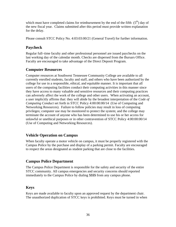<span id="page-43-0"></span>which must have completed claims for reimbursement by the end of the fifth  $(5<sup>th</sup>)$  day of the new fiscal year. Claims submitted after this period must provide written explanation for the delay.

Please consult STCC Policy No. 4:03:03:00/21 (General Travel) for further information.

# **Paycheck**

Regular full–time faculty and other professional personnel are issued paychecks on the last working day of the calendar month. Checks are dispersed from the Bursars Office. Faculty are encouraged to take advantage of the Direct Deposit Program.

# **Computer Resources**

Computer resources at Southwest Tennessee Community College are available to all currently enrolled students, faculty and staff, and others who have been authorized by the college for use in a responsible, ethical, and equitable manner. It is important that all users of the computing facilities conduct their computing activities in this manner since they have access to many valuable and sensitive resources and their computing practices can adversely affect the work of the college and other users. When activating an account, a user implicitly affirms that: they will abide by the broadest interpretation of the *Code of Computing Conduct* set forth in STCC Policy 4:00:00:00/14 (Use of Computing and Networking Resources). Failure to follow policies may result in loss of computing privileges; computer use may be monitored to protect the system; and the college may terminate the account of anyone who has been determined to use his or her access for unlawful or unethical purposes or in other contravention of STCC Policy 4:00:00:00/14 (Use of Computing and Networking Resources).

# **Vehicle Operation on Campus**

When faculty operate a motor vehicle on campus, it must be properly registered with the Campus Police by the purchase and display of a parking permit. Faculty are encouraged to respect the areas designated as student parking that are close to the facilities.

# **Campus Police Department**

The Campus Police Department is responsible for the safety and security of the entire STCC community. All campus emergencies and security concerns should reported immediately to the Campus Police by dialing **5555** from any campus phone.

# **Keys**

Keys are made available to faculty upon an approved request by the department chair. The unauthorized duplication of STCC keys is prohibited. Keys must be turned in when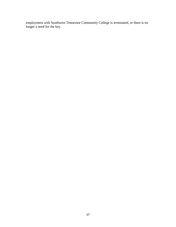employment with Southwest Tennessee Community College is terminated, or there is no longer a need for the key.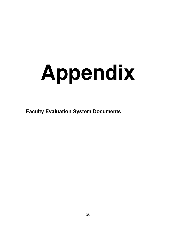# <span id="page-45-0"></span>**Appendix**

**Faculty Evaluation System Documents**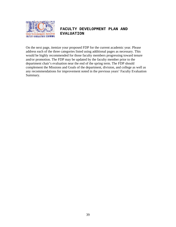

#### **FACULTY DEVELOPMENT PLAN AND EVALUATION**

On the next page, itemize your proposed FDP for the current academic year. Please address each of the three categories listed using additional pages as necessary. This would be highly recommended for those faculty members progressing toward tenure and/or promotion. The FDP may be updated by the faculty member prior to the department chair's evaluation near the end of the spring term. The FDP should complement the Missions and Goals of the department, division, and college as well as any recommendations for improvement noted in the previous years' Faculty Evaluation Summary.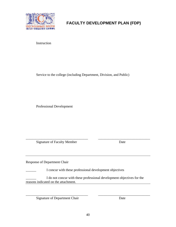

**FACULTY DEVELOPMENT PLAN (FDP)**

Instruction

Service to the college (including Department, Division, and Public)

Professional Development

Signature of Faculty Member Date

\_\_\_\_\_\_\_\_\_\_\_\_\_\_\_\_\_\_\_\_\_\_\_\_\_\_\_\_\_\_\_\_\_\_\_\_ \_\_\_\_\_\_\_\_\_\_\_\_\_\_\_\_\_\_\_\_\_\_\_\_\_\_\_\_\_\_

Response of Department Chair

I concur with these professional development objectives

I do not concur with these professional development objectives for the reasons indicated on the attachment.

Signature of Department Chair Date

 $\overline{\phantom{a}}$  , and the contribution of the contribution of the contribution of the contribution of  $\overline{\phantom{a}}$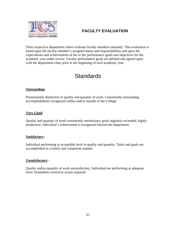

# **FACULTY EVALUATION**

Their respective department chairs evaluate faculty members annually. This evaluation is based upon the faculty member's assigned duties and responsibilities and upon the expectations and achievements of his or her performance goals and objectives for the academic year under review. Faculty performance goals are defined and agreed upon with the department chair prior to the beginning of each academic year.

# **Standards**

#### **Outstanding:**

Preeminently distinctive in quality and quantity of work. Consistently outstanding accomplishments recognized within and/or outside of the College.

#### **Very Good:**

Quality and quantity of work consistently meritorious; goals regularly exceeded; highly productive; individual's achievement is recognized beyond the department.

#### **Satisfactory:**

Individual performing at acceptable level in quality and quantity. Tasks and goals are accomplished in a timely and competent manner.

#### **Unsatisfactory:**

Quality and/or quantity of work unsatisfactory. Individual not performing at adequate level. Immediate corrective action required.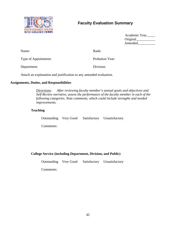

# **Faculty Evaluation Summary**

| Academic Year |
|---------------|
| Original      |
| Amended       |

| Name:                | Rank:           |
|----------------------|-----------------|
| Type of Appointment: | Probation Year: |
| Department:          | Division:       |

Attach an explanation and justification to any amended evaluation.

#### **Assignments, Duties, and Responsibilities**

*Directions: After reviewing faculty member's annual goals and objectives and Self-Review narrative, assess the performance of the faculty member in each of the following categories. Note comments, which could include strengths and needed improvements.* 

#### **Teaching**

Outstanding Very Good Satisfactory Unsatisfactory

Comments:

#### **College Service (including Department, Division, and Public)**

Outstanding Very Good Satisfactory Unsatisfactory

Comments: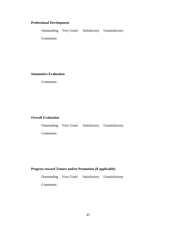#### **Professional Development**

|           |  | Outstanding Very Good Satisfactory Unsatisfactory |
|-----------|--|---------------------------------------------------|
| Comments: |  |                                                   |

**Summative Evaluation** 

Comments:

#### **Overall Evaluation**

|           |  | Outstanding Very Good Satisfactory Unsatisfactory |
|-----------|--|---------------------------------------------------|
| Comments: |  |                                                   |

#### **Progress toward Tenure and/or Promotion (if applicable)**

Outstanding Very Good Satisfactory Unsatisfactory

Comments: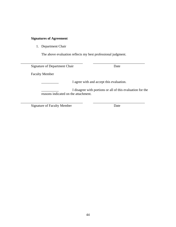# **Signatures of Agreement**

1. Department Chair

The above evaluation reflects my best professional judgment.

| Signature of Department Chair        | Date                                                       |
|--------------------------------------|------------------------------------------------------------|
| <b>Faculty Member</b>                |                                                            |
|                                      | I agree with and accept this evaluation.                   |
| reasons indicated on the attachment. | I disagree with portions or all of this evaluation for the |

Signature of Faculty Member Date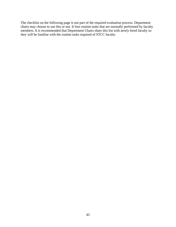The checklist on the following page is not part of the required evaluation process. Department chairs may choose to use this or not. It lists routine tasks that are normally performed by faculty members. It is recommended that Department Chairs share this list with newly hired faculty so they will be familiar with the routine tasks required of STCC faculty.